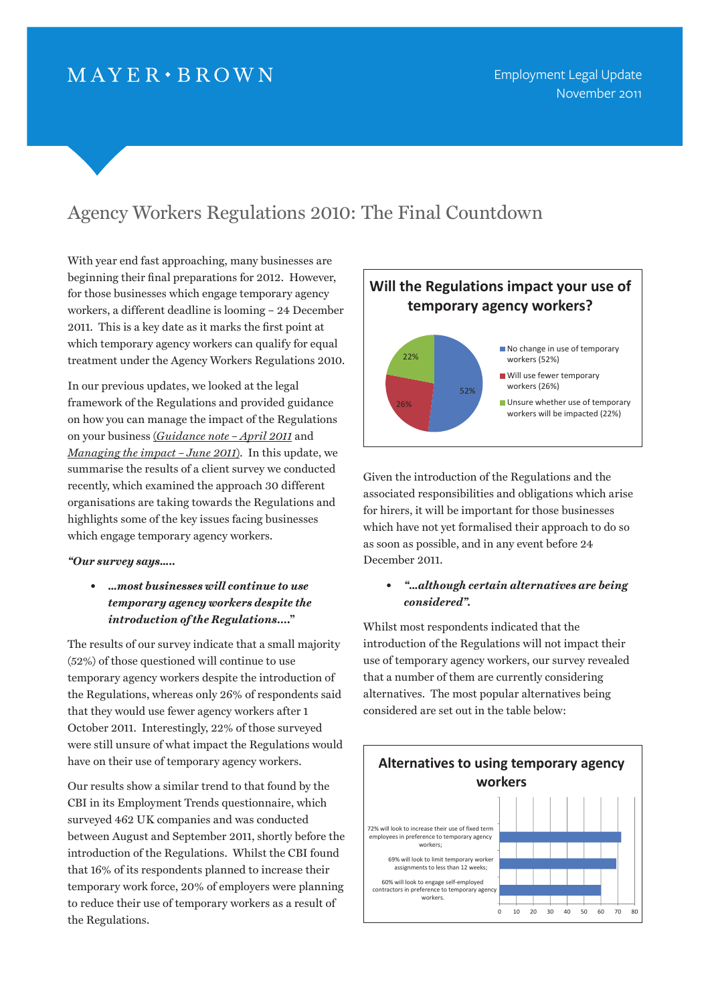# $MAYER \cdot BROWN$

## Agency Workers Regulations 2010: The Final Countdown  $\sim$  2010: The Final Countdown

With year end fast approaching, many businesses are beginning their final preparations for 2012. However, for those businesses which engage temporary agency workers, a different deadline is looming – 24 December 2011. This is a key date as it marks the first point at which temporary agency workers can qualify for equal treatment under the Agency Workers Regulations 2010.

In our previous updates, we looked at the legal framework of the Regulations and provided guidance on how you can manage the impact of the Regulations on your business (*[Guidance note – April 2011](http://www.mayerbrown.com/employment/article.asp?id=10752&nid=11034)* and *[Managing the impact – June 2011](http://www.mayerbrown.com/employment/article.asp?id=11125&nid=11034)*). In this update, we summarise the results of a client survey we conducted recently, which examined the approach 30 different organisations are taking towards the Regulations and highlights some of the key issues facing businesses which engage temporary agency workers.

### *"Our survey says…..*

*• …most businesses will continue to use temporary agency workers despite the introduction of the Regulations***…."**

The results of our survey indicate that a small majority (52%) of those questioned will continue to use temporary agency workers despite the introduction of the Regulations, whereas only 26% of respondents said that they would use fewer agency workers after 1 October 2011. Interestingly, 22% of those surveyed were still unsure of what impact the Regulations would have on their use of temporary agency workers.

Our results show a similar trend to that found by the CBI in its Employment Trends questionnaire, which surveyed 462 UK companies and was conducted between August and September 2011, shortly before the introduction of the Regulations. Whilst the CBI found that 16% of its respondents planned to increase their temporary work force, 20% of employers were planning to reduce their use of temporary workers as a result of the Regulations.



towards the Regulations and highlights some of the key issues facing businesses which

The results of our survey indicate that a small majority (52%) of the small majority (52%) of those questioned will continue to use temporary agency workers despite the introduction of the Regulations, where  $\alpha$  is that that that that they would use fewer agency would use fewer agency would use fewer agency workers after 1

> Given the introduction of the Regulations and the associated responsibilities and obligations which arise for hirers, it will be important for those businesses which have not yet formalised their approach to do so as soon as possible, and in any event before 24 December 2011.

## *• "…although certain alternatives are being considered".*

Whilst most respondents indicated that the najority introduction of the Regulations will not impact their use of temporary agency workers, our survey revealed 1 of that a number of them are currently considering nts said alternatives. The most popular alternatives being 1 considered are set out in the table below: tajority and outcom of the negulations will not impact their  $\mathcal{L}$  considered alternatives. The most popular alternatives being considered are set out

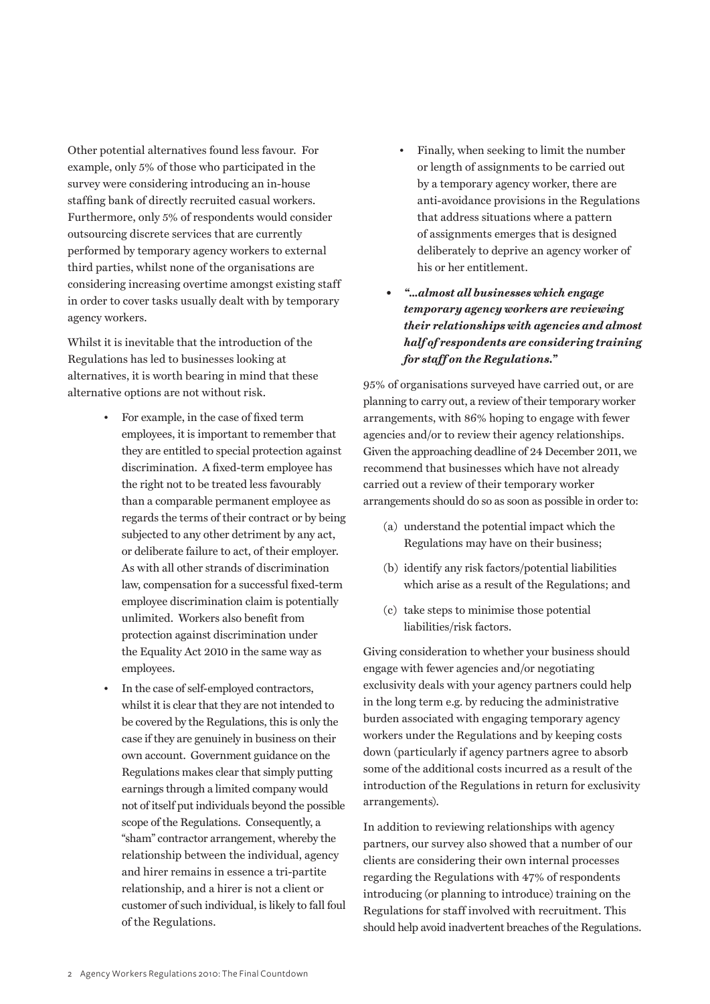Other potential alternatives found less favour. For example, only 5% of those who participated in the survey were considering introducing an in-house staffing bank of directly recruited casual workers. Furthermore, only 5% of respondents would consider outsourcing discrete services that are currently performed by temporary agency workers to external third parties, whilst none of the organisations are considering increasing overtime amongst existing staff in order to cover tasks usually dealt with by temporary agency workers.

Whilst it is inevitable that the introduction of the Regulations has led to businesses looking at alternatives, it is worth bearing in mind that these alternative options are not without risk.

- For example, in the case of fixed term employees, it is important to remember that they are entitled to special protection against discrimination. A fixed-term employee has the right not to be treated less favourably than a comparable permanent employee as regards the terms of their contract or by being subjected to any other detriment by any act, or deliberate failure to act, of their employer. As with all other strands of discrimination law, compensation for a successful fixed-term employee discrimination claim is potentially unlimited. Workers also benefit from protection against discrimination under the Equality Act 2010 in the same way as employees.
- In the case of self-employed contractors, whilst it is clear that they are not intended to be covered by the Regulations, this is only the case if they are genuinely in business on their own account. Government guidance on the Regulations makes clear that simply putting earnings through a limited company would not of itself put individuals beyond the possible scope of the Regulations. Consequently, a "sham" contractor arrangement, whereby the relationship between the individual, agency and hirer remains in essence a tri-partite relationship, and a hirer is not a client or customer of such individual, is likely to fall foul of the Regulations.
- Finally, when seeking to limit the number or length of assignments to be carried out by a temporary agency worker, there are anti-avoidance provisions in the Regulations that address situations where a pattern of assignments emerges that is designed deliberately to deprive an agency worker of his or her entitlement.
- *• "…almost all businesses which engage temporary agency workers are reviewing their relationships with agencies and almost half of respondents are considering training for staff on the Regulations."*

95% of organisations surveyed have carried out, or are planning to carry out, a review of their temporary worker arrangements, with 86% hoping to engage with fewer agencies and/or to review their agency relationships. Given the approaching deadline of 24 December 2011, we recommend that businesses which have not already carried out a review of their temporary worker arrangements should do so as soon as possible in order to:

- (a) understand the potential impact which the Regulations may have on their business;
- (b) identify any risk factors/potential liabilities which arise as a result of the Regulations; and
- (c) take steps to minimise those potential liabilities/risk factors.

Giving consideration to whether your business should engage with fewer agencies and/or negotiating exclusivity deals with your agency partners could help in the long term e.g. by reducing the administrative burden associated with engaging temporary agency workers under the Regulations and by keeping costs down (particularly if agency partners agree to absorb some of the additional costs incurred as a result of the introduction of the Regulations in return for exclusivity arrangements).

In addition to reviewing relationships with agency partners, our survey also showed that a number of our clients are considering their own internal processes regarding the Regulations with 47% of respondents introducing (or planning to introduce) training on the Regulations for staff involved with recruitment. This should help avoid inadvertent breaches of the Regulations.